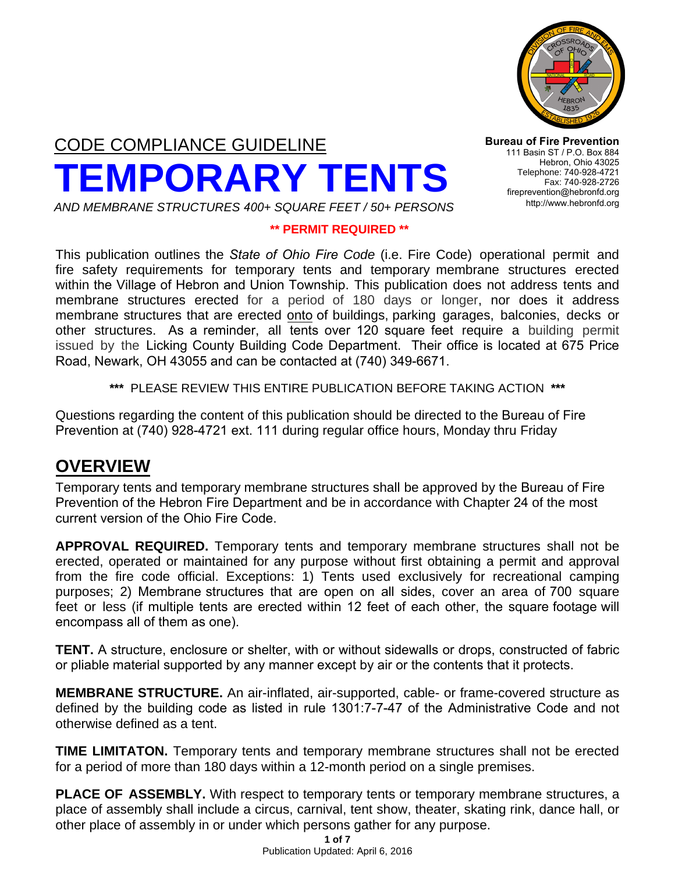

# CODE COMPLIANCE GUIDELINE **TEMPORARY TENTS** *AND MEMBRANE STRUCTURES 400+ SQUARE FEET / 50+ PERSONS*

**Bureau of Fire Prevention** 111 Basin ST / P.O. Box 884 Hebron, Ohio 43025 Telephone: 740-928-4721 Fax: 740-928-2726 fireprevention@hebronfd.org <http://www.hebronfd.org>

#### **\*\* PERMIT REQUIRED \*\***

This publication outlines the *State of Ohio Fire Code* (i.e. Fire Code) operational permit and fire safety requirements for temporary tents and temporary membrane structures erected within the Village of Hebron and Union Township. This publication does not address tents and membrane structures erected for a period of 180 days or longer, nor does it address membrane structures that are erected onto of buildings, parking garages, balconies, decks or other structures. As a reminder, all tents over 120 square feet require a building permit issued by the Licking County Building Code Department. Their office is located at 675 Price Road, Newark, OH 43055 and can be contacted at (740) 349-6671.

**\*\*\*** PLEASE REVIEW THIS ENTIRE PUBLICATION BEFORE TAKING ACTION **\*\*\*** 

Questions regarding the content of this publication should be directed to the Bureau of Fire Prevention at (740) 928-4721 ext. 111 during regular office hours, Monday thru Friday

#### **OVERVIEW**

Temporary tents and temporary membrane structures shall be approved by the Bureau of Fire Prevention of the Hebron Fire Department and be in accordance with Chapter 24 of the most current version of the Ohio Fire Code.

**APPROVAL REQUIRED.** Temporary tents and temporary membrane structures shall not be erected, operated or maintained for any purpose without first obtaining a permit and approval from the fire code official. Exceptions: 1) Tents used exclusively for recreational camping purposes; 2) Membrane structures that are open on all sides, cover an area of 700 square feet or less (if multiple tents are erected within 12 feet of each other, the square footage will encompass all of them as one).

**TENT.** A structure, enclosure or shelter, with or without sidewalls or drops, constructed of fabric or pliable material supported by any manner except by air or the contents that it protects.

**MEMBRANE STRUCTURE.** An air-inflated, air-supported, cable- or frame-covered structure as defined by the building code as listed in rule 1301:7-7-47 of the Administrative Code and not otherwise defined as a tent.

**TIME LIMITATON.** Temporary tents and temporary membrane structures shall not be erected for a period of more than 180 days within a 12-month period on a single premises.

**PLACE OF ASSEMBLY.** With respect to temporary tents or temporary membrane structures, a place of assembly shall include a circus, carnival, tent show, theater, skating rink, dance hall, or other place of assembly in or under which persons gather for any purpose.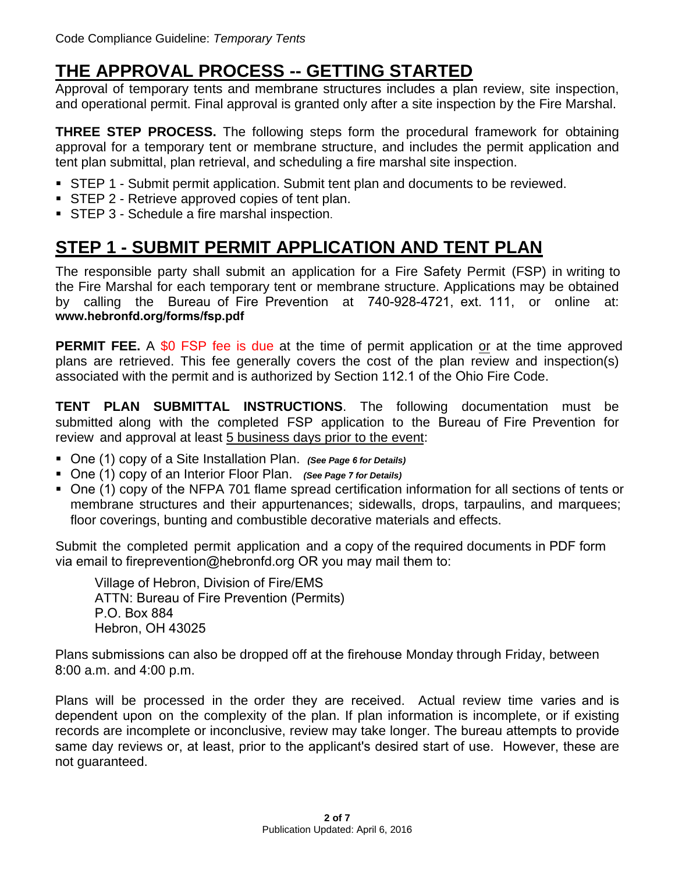### **THE APPROVAL PROCESS -- GETTING STARTED**

Approval of temporary tents and membrane structures includes a plan review, site inspection, and operational permit. Final approval is granted only after a site inspection by the Fire Marshal.

**THREE STEP PROCESS.** The following steps form the procedural framework for obtaining approval for a temporary tent or membrane structure, and includes the permit application and tent plan submittal, plan retrieval, and scheduling a fire marshal site inspection.

- STEP 1 Submit permit application. Submit tent plan and documents to be reviewed.
- **STEP 2 Retrieve approved copies of tent plan.**
- **STEP 3 Schedule a fire marshal inspection.**

# **STEP 1 - SUBMIT PERMIT APPLICATION AND TENT PLAN**

The responsible party shall submit an application for a Fire Safety Permit (FSP) in writing to the Fire Marshal for each temporary tent or membrane structure. Applications may be obtained by calling the Bureau of Fire Prevention at 740-928-4721, ext. 111, or online at: **www.[hebronfd.org/forms/fsp.](http://www.hebronfd.org/forms/fsp.pdf)pdf**

**PERMIT FEE.** A \$0 FSP fee is due at the time of permit application or at the time approved plans are retrieved. This fee generally covers the cost of the plan review and inspection(s) associated with the permit and is authorized by Section 112.1 of the Ohio Fire Code.

**TENT PLAN SUBMITTAL INSTRUCTIONS**. The following documentation must be submitted along with the completed FSP application to the Bureau of Fire Prevention for review and approval at least 5 business days prior to the event:

- One (1) copy of a Site Installation Plan. *(See Page 6 [for Details\)](#page-5-0)*
- One (1) copy of an Interior Floor Plan. *(See Page 7 [for Details\)](#page-6-0)*
- One (1) copy of the NFPA 701 flame spread certification information for all sections of tents or membrane structures and their appurtenances; sidewalls, drops, tarpaulins, and marquees; floor coverings, bunting and combustible decorative materials and effects.

Submit the completed permit application and a copy of the required documents in PDF form via email to fireprevention@hebronfd.org OR you may mail them to:

Village of Hebron, Division of Fire/EMS ATTN: Bureau of Fire Prevention (Permits) P.O. Box 884 Hebron, OH 43025

Plans submissions can also be dropped off at the firehouse Monday through Friday, between 8:00 a.m. and 4:00 p.m.

Plans will be processed in the order they are received. Actual review time varies and is dependent upon on the complexity of the plan. If plan information is incomplete, or if existing records are incomplete or inconclusive, review may take longer. The bureau attempts to provide same day reviews or, at least, prior to the applicant's desired start of use. However, these are not guaranteed.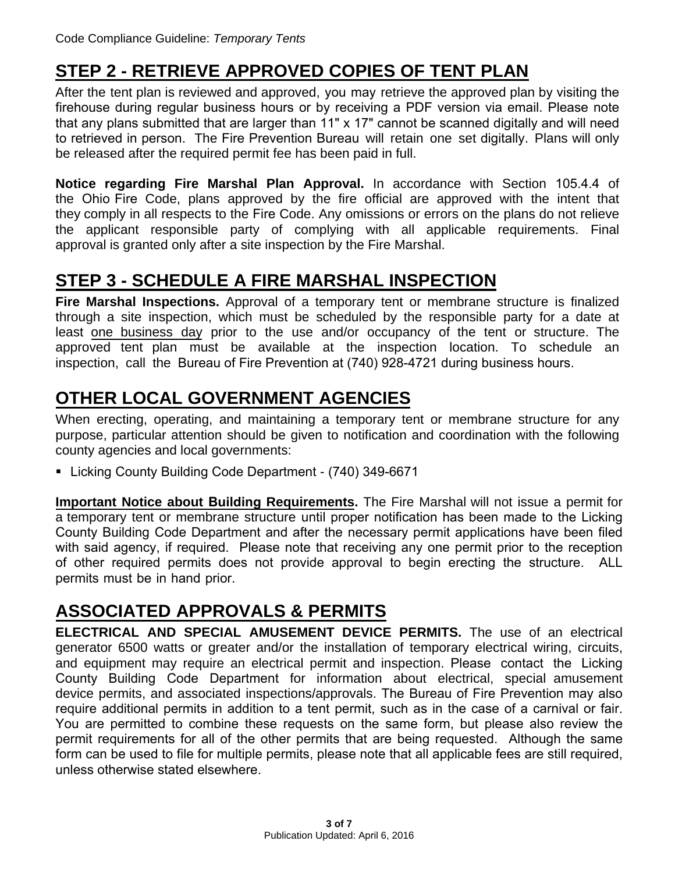### **STEP 2 - RETRIEVE APPROVED COPIES OF TENT PLAN**

After the tent plan is reviewed and approved, you may retrieve the approved plan by visiting the firehouse during regular business hours or by receiving a PDF version via email. Please note that any plans submitted that are larger than 11" x 17" cannot be scanned digitally and will need to retrieved in person. The Fire Prevention Bureau will retain one set digitally. Plans will only be released after the required permit fee has been paid in full.

**Notice regarding Fire Marshal Plan Approval.** In accordance with Section 105.4.4 of the Ohio Fire Code, plans approved by the fire official are approved with the intent that they comply in all respects to the Fire Code. Any omissions or errors on the plans do not relieve the applicant responsible party of complying with all applicable requirements. Final approval is granted only after a site inspection by the Fire Marshal.

#### **STEP 3 - SCHEDULE A FIRE MARSHAL INSPECTION**

**Fire Marshal Inspections.** Approval of a temporary tent or membrane structure is finalized through a site inspection, which must be scheduled by the responsible party for a date at least one business day prior to the use and/or occupancy of the tent or structure. The approved tent plan must be available at the inspection location. To schedule an inspection, call the Bureau of Fire Prevention at (740) 928-4721 during business hours.

# **OTHER LOCAL GOVERNMENT AGENCIES**

When erecting, operating, and maintaining a temporary tent or membrane structure for any purpose, particular attention should be given to notification and coordination with the following county agencies and local governments:

■ Licking County Building Code Department - (740) 349-6671

**Important Notice about Building Requirements.** The Fire Marshal will not issue a permit for a temporary tent or membrane structure until proper notification has been made to the Licking County Building Code Department and after the necessary permit applications have been filed with said agency, if required. Please note that receiving any one permit prior to the reception of other required permits does not provide approval to begin erecting the structure. ALL permits must be in hand prior.

### **ASSOCIATED APPROVALS & PERMITS**

**ELECTRICAL AND SPECIAL AMUSEMENT DEVICE PERMITS.** The use of an electrical generator 6500 watts or greater and/or the installation of temporary electrical wiring, circuits, and equipment may require an electrical permit and inspection. Please contact the Licking County Building Code Department for information about electrical, special amusement device permits, and associated inspections/approvals. The Bureau of Fire Prevention may also require additional permits in addition to a tent permit, such as in the case of a carnival or fair. You are permitted to combine these requests on the same form, but please also review the permit requirements for all of the other permits that are being requested. Although the same form can be used to file for multiple permits, please note that all applicable fees are still required, unless otherwise stated elsewhere.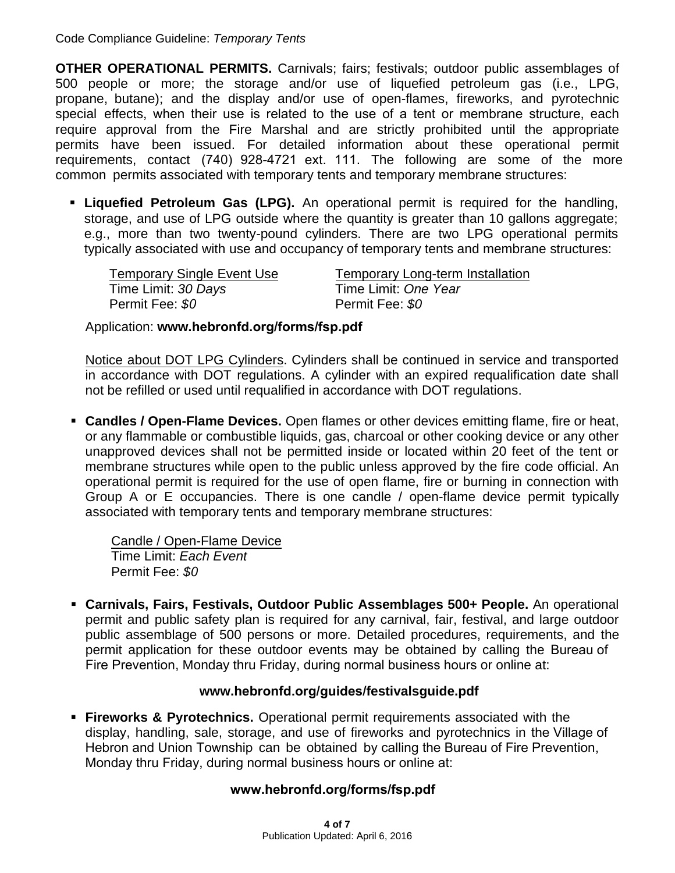**OTHER OPERATIONAL PERMITS.** Carnivals; fairs; festivals; outdoor public assemblages of 500 people or more; the storage and/or use of liquefied petroleum gas (i.e., LPG, propane, butane); and the display and/or use of open-flames, fireworks, and pyrotechnic special effects, when their use is related to the use of a tent or membrane structure, each require approval from the Fire Marshal and are strictly prohibited until the appropriate permits have been issued. For detailed information about these operational permit requirements, contact (740) 928-4721 ext. 111. The following are some of the more common permits associated with temporary tents and temporary membrane structures:

 **Liquefied Petroleum Gas (LPG).** An operational permit is required for the handling, storage, and use of LPG outside where the quantity is greater than 10 gallons aggregate; e.g., more than two twenty-pound cylinders. There are two LPG operational permits typically associated with use and occupancy of temporary tents and membrane structures:

| <b>Temporary Single Event Use</b> | <b>Temporary Long-term Installation</b> |
|-----------------------------------|-----------------------------------------|
| Time Limit: 30 Days               | Time Limit: One Year                    |
| Permit Fee: \$0                   | Permit Fee: \$0                         |

Application: **www.[hebronfd.org/forms/fsp.pdf](http://www.hebronfd.org/forms/fsp.pdf)**

Notice about DOT LPG Cylinders. Cylinders shall be continued in service and transported in accordance with DOT regulations. A cylinder with an expired requalification date shall not be refilled or used until requalified in accordance with DOT regulations.

 **Candles / Open-Flame Devices.** Open flames or other devices emitting flame, fire or heat, or any flammable or combustible liquids, gas, charcoal or other cooking device or any other unapproved devices shall not be permitted inside or located within 20 feet of the tent or membrane structures while open to the public unless approved by the fire code official. An operational permit is required for the use of open flame, fire or burning in connection with Group A or E occupancies. There is one candle / open-flame device permit typically associated with temporary tents and temporary membrane structures:

Candle / Open-Flame Device Time Limit: *Each Event* Permit Fee: *\$0*

 **Carnivals, Fairs, Festivals, Outdoor Public Assemblages 500+ People.** An operational permit and public safety plan is required for any carnival, fair, festival, and large outdoor public assemblage of 500 persons or more. Detailed procedures, requirements, and the permit application for these outdoor events may be obtained by calling the Bureau of Fire Prevention, Monday thru Friday, during normal business hours or online at:

#### **www.hebronfd.org/guides/festivalsguide.pdf**

 **Fireworks & Pyrotechnics.** Operational permit requirements associated with the display, handling, sale, storage, and use of fireworks and pyrotechnics in the Village of Hebron and Union Township can be obtained by calling the Bureau of Fire Prevention, Monday thru Friday, during normal business hours or online at:

#### **[www.hebronfd.org/forms/fsp.pdf](http://www.hebronfd.org/forms/fsp.pdf)**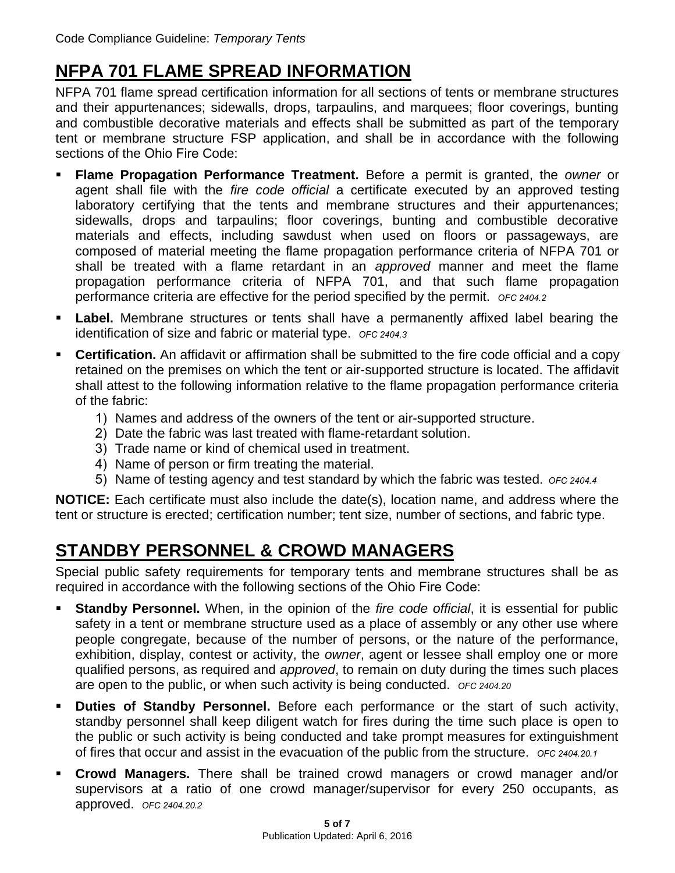# **NFPA 701 FLAME SPREAD INFORMATION**

NFPA 701 flame spread certification information for all sections of tents or membrane structures and their appurtenances; sidewalls, drops, tarpaulins, and marquees; floor coverings, bunting and combustible decorative materials and effects shall be submitted as part of the temporary tent or membrane structure FSP application, and shall be in accordance with the following sections of the Ohio Fire Code:

- **Flame Propagation Performance Treatment.** Before a permit is granted, the *owner* or agent shall file with the *fire code official* a certificate executed by an approved testing laboratory certifying that the tents and membrane structures and their appurtenances; sidewalls, drops and tarpaulins; floor coverings, bunting and combustible decorative materials and effects, including sawdust when used on floors or passageways, are composed of material meeting the flame propagation performance criteria of NFPA 701 or shall be treated with a flame retardant in an *approved* manner and meet the flame propagation performance criteria of NFPA 701, and that such flame propagation performance criteria are effective for the period specified by the permit. *OFC 2404.2*
- **Label.** Membrane structures or tents shall have a permanently affixed label bearing the identification of size and fabric or material type. *OFC 2404.3*
- **Certification.** An affidavit or affirmation shall be submitted to the fire code official and a copy retained on the premises on which the tent or air-supported structure is located. The affidavit shall attest to the following information relative to the flame propagation performance criteria of the fabric:
	- 1) Names and address of the owners of the tent or air-supported structure.
	- 2) Date the fabric was last treated with flame-retardant solution.
	- 3) Trade name or kind of chemical used in treatment.
	- 4) Name of person or firm treating the material.
	- 5) Name of testing agency and test standard by which the fabric was tested. *OFC 2404.4*

**NOTICE:** Each certificate must also include the date(s), location name, and address where the tent or structure is erected; certification number; tent size, number of sections, and fabric type.

### **STANDBY PERSONNEL & CROWD MANAGERS**

Special public safety requirements for temporary tents and membrane structures shall be as required in accordance with the following sections of the Ohio Fire Code:

- **Standby Personnel.** When, in the opinion of the *fire code official*, it is essential for public safety in a tent or membrane structure used as a place of assembly or any other use where people congregate, because of the number of persons, or the nature of the performance, exhibition, display, contest or activity, the *owner*, agent or lessee shall employ one or more qualified persons, as required and *approved*, to remain on duty during the times such places are open to the public, or when such activity is being conducted. *OFC 2404.20*
- **Duties of Standby Personnel.** Before each performance or the start of such activity, standby personnel shall keep diligent watch for fires during the time such place is open to the public or such activity is being conducted and take prompt measures for extinguishment of fires that occur and assist in the evacuation of the public from the structure. *OFC <sup>2404</sup>.20.1*
- **Crowd Managers.** There shall be trained crowd managers or crowd manager and/or supervisors at a ratio of one crowd manager/supervisor for every 250 occupants, as approved. *OFC 2404.20.2*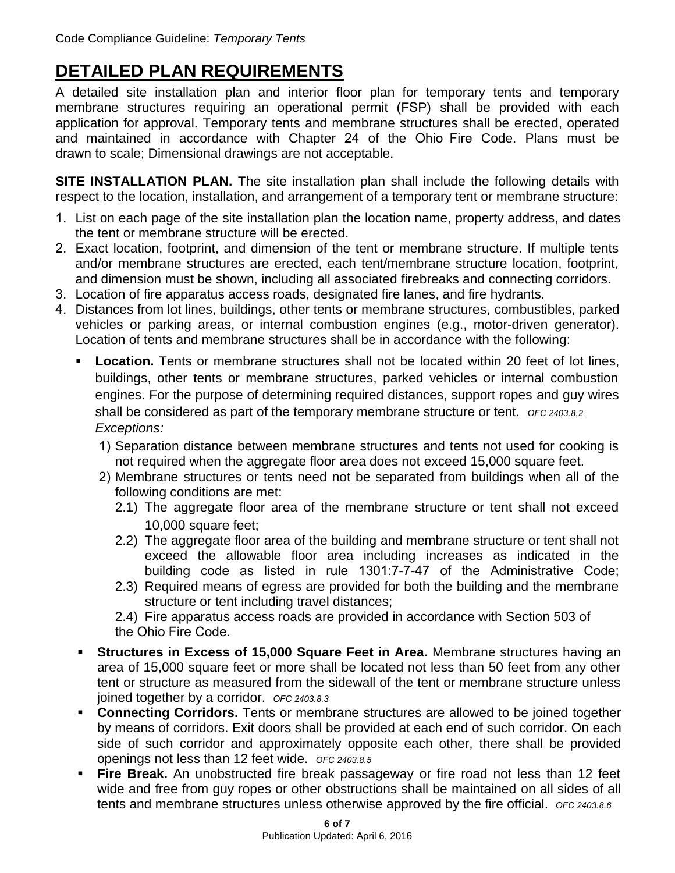# <span id="page-5-0"></span>**DETAILED PLAN REQUIREMENTS**

A detailed site installation plan and interior floor plan for temporary tents and temporary membrane structures requiring an operational permit (FSP) shall be provided with each application for approval. Temporary tents and membrane structures shall be erected, operated and maintained in accordance with Chapter 24 of the Ohio Fire Code. Plans must be drawn to scale; Dimensional drawings are not acceptable.

**SITE INSTALLATION PLAN.** The site installation plan shall include the following details with respect to the location, installation, and arrangement of a temporary tent or membrane structure:

- 1. List on each page of the site installation plan the location name, property address, and dates the tent or membrane structure will be erected.
- 2. Exact location, footprint, and dimension of the tent or membrane structure. If multiple tents and/or membrane structures are erected, each tent/membrane structure location, footprint, and dimension must be shown, including all associated firebreaks and connecting corridors.
- 3. Location of fire apparatus access roads, designated fire lanes, and fire hydrants.
- 4. Distances from lot lines, buildings, other tents or membrane structures, combustibles, parked vehicles or parking areas, or internal combustion engines (e.g., motor-driven generator). Location of tents and membrane structures shall be in accordance with the following:
	- **Location.** Tents or membrane structures shall not be located within 20 feet of lot lines, buildings, other tents or membrane structures, parked vehicles or internal combustion engines. For the purpose of determining required distances, support ropes and guy wires shall be considered as part of the temporary membrane structure or tent. *OFC 2403.8.2 Exceptions:*
		- 1) Separation distance between membrane structures and tents not used for cooking is not required when the aggregate floor area does not exceed 15,000 square feet.
		- 2) Membrane structures or tents need not be separated from buildings when all of the following conditions are met:
			- 2.1) The aggregate floor area of the membrane structure or tent shall not exceed 10,000 square feet;
			- 2.2) The aggregate floor area of the building and membrane structure or tent shall not exceed the allowable floor area including increases as indicated in the building code as listed in rule 1301:7-7-47 of the Administrative Code;
			- 2.3) Required means of egress are provided for both the building and the membrane structure or tent including travel distances;
			- 2.4) Fire apparatus access roads are provided in accordance with Section 503 of the Ohio Fire Code.
	- **Structures in Excess of 15,000 Square Feet in Area.** Membrane structures having an area of 15,000 square feet or more shall be located not less than 50 feet from any other tent or structure as measured from the sidewall of the tent or membrane structure unless joined together by a corridor. *OFC 2403.8.3*
	- **Connecting Corridors.** Tents or membrane structures are allowed to be joined together by means of corridors. Exit doors shall be provided at each end of such corridor. On each side of such corridor and approximately opposite each other, there shall be provided openings not less than 12 feet wide. *OFC 2403.8.5*
	- **Fire Break.** An unobstructed fire break passageway or fire road not less than 12 feet wide and free from guy ropes or other obstructions shall be maintained on all sides of all tents and membrane structures unless otherwise approved by the fire official. *OFC 2403.8.6*